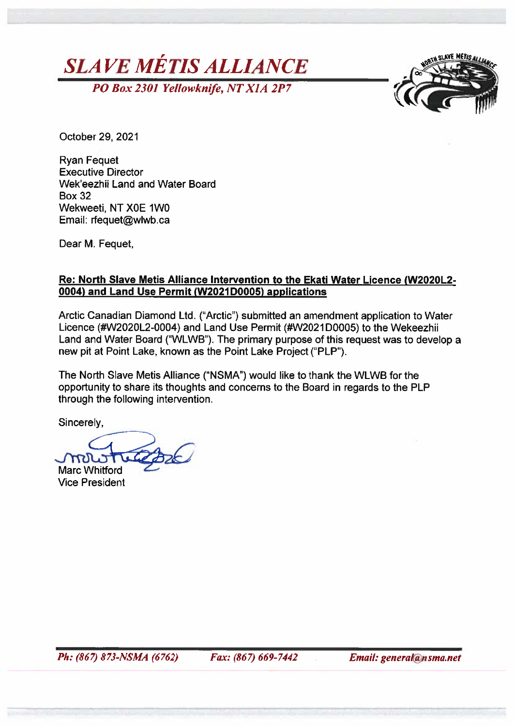



October 29, 2021

**Ryan Fequet Executive Director** Wek'eezhii Land and Water Board **Box 32** Wekweeti, NT X0E 1W0 Email: rfequet@wlwb.ca

Dear M. Fequet.

#### Re: North Slave Metis Alliance Intervention to the Ekati Water Licence (W2020L2-0004) and Land Use Permit (W2021D0005) applications

Arctic Canadian Diamond Ltd. ("Arctic") submitted an amendment application to Water Licence (#W2020L2-0004) and Land Use Permit (#W2021D0005) to the Wekeezhii Land and Water Board ("WLWB"). The primary purpose of this request was to develop a new pit at Point Lake, known as the Point Lake Project ("PLP").

The North Slave Metis Alliance ("NSMA") would like to thank the WLWB for the opportunity to share its thoughts and concerns to the Board in regards to the PLP through the following intervention.

Sincerely.

mari **Marc Whitford** 

**Vice President** 

Fax: (867) 669-7442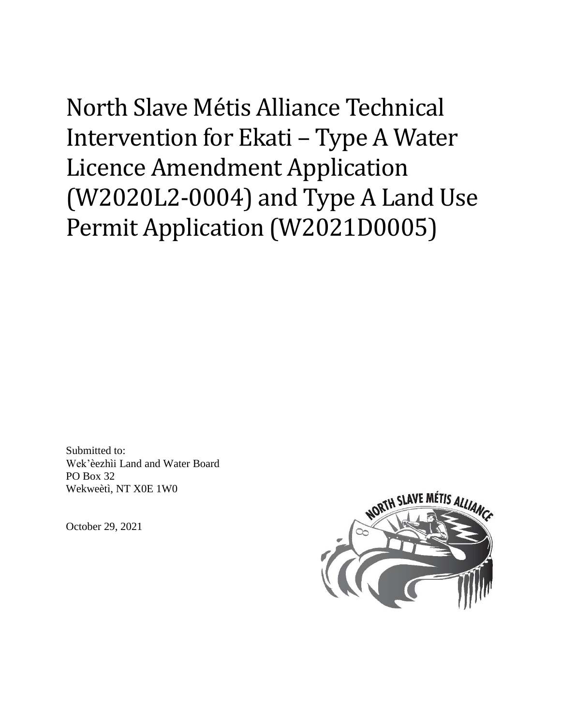North Slave Métis Alliance Technical Intervention for Ekati - Type A Water **Licence Amendment Application** (W2020L2-0004) and Type A Land Use Permit Application (W2021D0005)

Submitted to: Wek'èezhìi Land and Water Board PO Box 32 Wekweeti, NT X0E 1W0

October 29, 2021

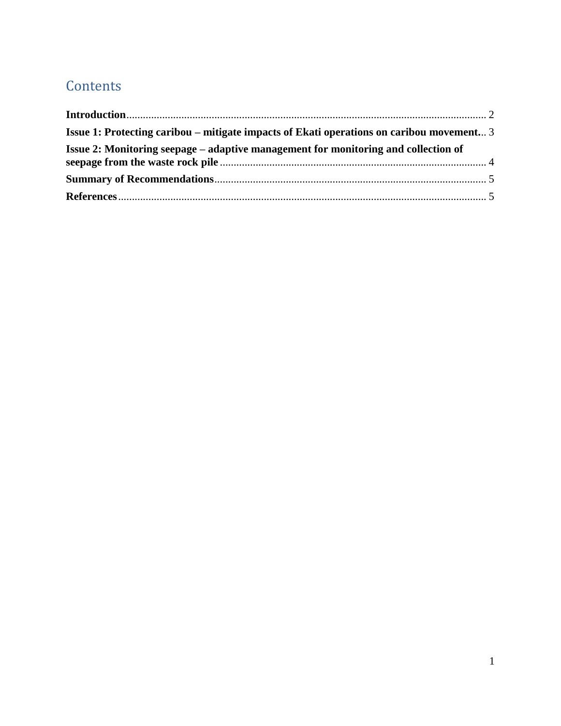# **Contents**

| <b>Issue 1: Protecting caribou – mitigate impacts of Ekati operations on caribou movement</b> 3 |  |
|-------------------------------------------------------------------------------------------------|--|
| Issue 2: Monitoring seepage – adaptive management for monitoring and collection of              |  |
|                                                                                                 |  |
|                                                                                                 |  |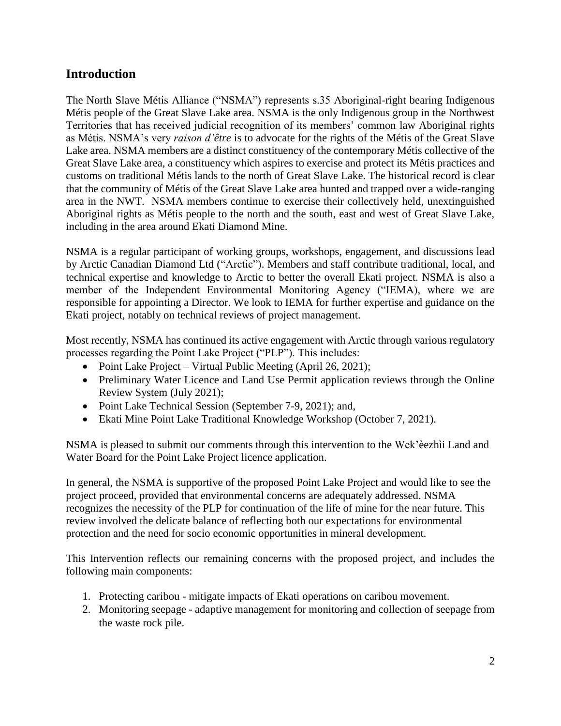## <span id="page-3-0"></span>**Introduction**

The North Slave Métis Alliance ("NSMA") represents s.35 Aboriginal-right bearing Indigenous Métis people of the Great Slave Lake area. NSMA is the only Indigenous group in the Northwest Territories that has received judicial recognition of its members' common law Aboriginal rights as Métis. NSMA's very *raison d'être* is to advocate for the rights of the Métis of the Great Slave Lake area. NSMA members are a distinct constituency of the contemporary Métis collective of the Great Slave Lake area, a constituency which aspires to exercise and protect its Métis practices and customs on traditional Métis lands to the north of Great Slave Lake. The historical record is clear that the community of Métis of the Great Slave Lake area hunted and trapped over a wide-ranging area in the NWT. NSMA members continue to exercise their collectively held, unextinguished Aboriginal rights as Métis people to the north and the south, east and west of Great Slave Lake, including in the area around Ekati Diamond Mine.

NSMA is a regular participant of working groups, workshops, engagement, and discussions lead by Arctic Canadian Diamond Ltd ("Arctic"). Members and staff contribute traditional, local, and technical expertise and knowledge to Arctic to better the overall Ekati project. NSMA is also a member of the Independent Environmental Monitoring Agency ("IEMA), where we are responsible for appointing a Director. We look to IEMA for further expertise and guidance on the Ekati project, notably on technical reviews of project management.

Most recently, NSMA has continued its active engagement with Arctic through various regulatory processes regarding the Point Lake Project ("PLP"). This includes:

- Point Lake Project Virtual Public Meeting (April 26, 2021);
- Preliminary Water Licence and Land Use Permit application reviews through the Online Review System (July 2021);
- Point Lake Technical Session (September 7-9, 2021); and,
- Ekati Mine Point Lake Traditional Knowledge Workshop (October 7, 2021).

NSMA is pleased to submit our comments through this intervention to the Wek'èezhìi Land and Water Board for the Point Lake Project licence application.

In general, the NSMA is supportive of the proposed Point Lake Project and would like to see the project proceed, provided that environmental concerns are adequately addressed. NSMA recognizes the necessity of the PLP for continuation of the life of mine for the near future. This review involved the delicate balance of reflecting both our expectations for environmental protection and the need for socio economic opportunities in mineral development.

This Intervention reflects our remaining concerns with the proposed project, and includes the following main components:

- 1. Protecting caribou mitigate impacts of Ekati operations on caribou movement.
- 2. Monitoring seepage adaptive management for monitoring and collection of seepage from the waste rock pile.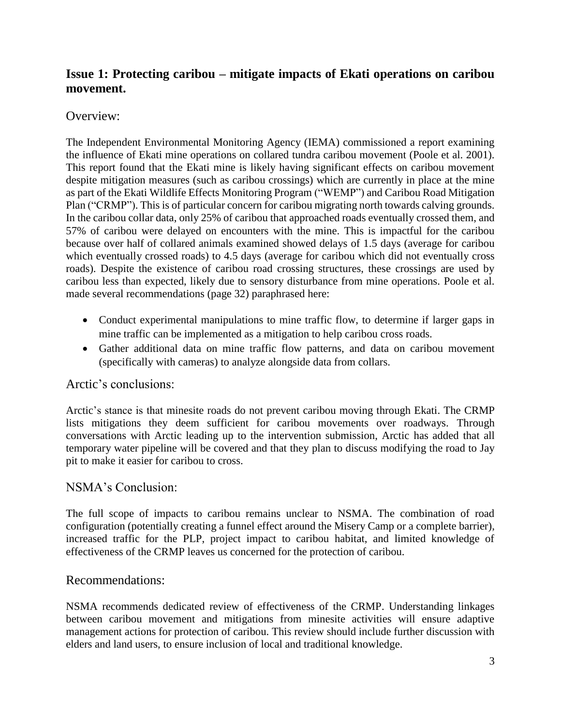# <span id="page-4-0"></span>**Issue 1: Protecting caribou – mitigate impacts of Ekati operations on caribou movement.**

#### Overview:

The Independent Environmental Monitoring Agency (IEMA) commissioned a report examining the influence of Ekati mine operations on collared tundra caribou movement (Poole et al. 2001). This report found that the Ekati mine is likely having significant effects on caribou movement despite mitigation measures (such as caribou crossings) which are currently in place at the mine as part of the Ekati Wildlife Effects Monitoring Program ("WEMP") and Caribou Road Mitigation Plan ("CRMP"). This is of particular concern for caribou migrating north towards calving grounds. In the caribou collar data, only 25% of caribou that approached roads eventually crossed them, and 57% of caribou were delayed on encounters with the mine. This is impactful for the caribou because over half of collared animals examined showed delays of 1.5 days (average for caribou which eventually crossed roads) to 4.5 days (average for caribou which did not eventually cross roads). Despite the existence of caribou road crossing structures, these crossings are used by caribou less than expected, likely due to sensory disturbance from mine operations. Poole et al. made several recommendations (page 32) paraphrased here:

- Conduct experimental manipulations to mine traffic flow, to determine if larger gaps in mine traffic can be implemented as a mitigation to help caribou cross roads.
- Gather additional data on mine traffic flow patterns, and data on caribou movement (specifically with cameras) to analyze alongside data from collars.

#### Arctic's conclusions:

Arctic's stance is that minesite roads do not prevent caribou moving through Ekati. The CRMP lists mitigations they deem sufficient for caribou movements over roadways. Through conversations with Arctic leading up to the intervention submission, Arctic has added that all temporary water pipeline will be covered and that they plan to discuss modifying the road to Jay pit to make it easier for caribou to cross.

#### NSMA's Conclusion:

The full scope of impacts to caribou remains unclear to NSMA. The combination of road configuration (potentially creating a funnel effect around the Misery Camp or a complete barrier), increased traffic for the PLP, project impact to caribou habitat, and limited knowledge of effectiveness of the CRMP leaves us concerned for the protection of caribou.

#### Recommendations:

NSMA recommends dedicated review of effectiveness of the CRMP. Understanding linkages between caribou movement and mitigations from minesite activities will ensure adaptive management actions for protection of caribou. This review should include further discussion with elders and land users, to ensure inclusion of local and traditional knowledge.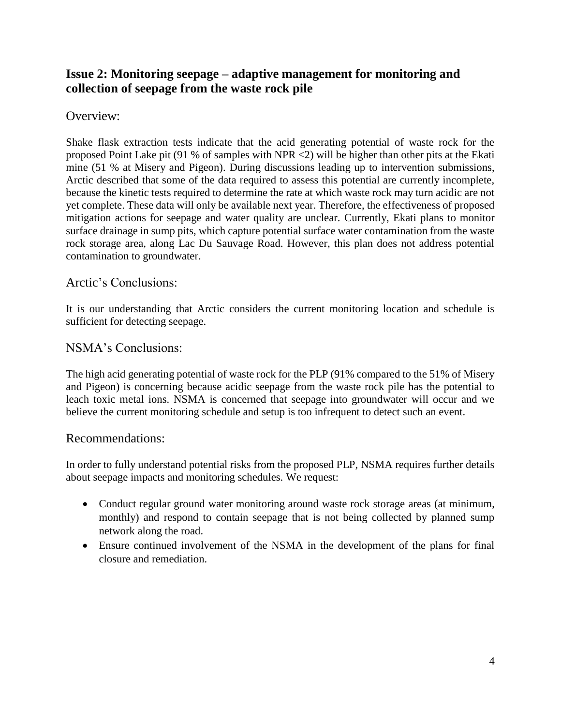# <span id="page-5-0"></span>**Issue 2: Monitoring seepage – adaptive management for monitoring and collection of seepage from the waste rock pile**

Overview:

Shake flask extraction tests indicate that the acid generating potential of waste rock for the proposed Point Lake pit (91 % of samples with NPR <2) will be higher than other pits at the Ekati mine (51 % at Misery and Pigeon). During discussions leading up to intervention submissions, Arctic described that some of the data required to assess this potential are currently incomplete, because the kinetic tests required to determine the rate at which waste rock may turn acidic are not yet complete. These data will only be available next year. Therefore, the effectiveness of proposed mitigation actions for seepage and water quality are unclear. Currently, Ekati plans to monitor surface drainage in sump pits, which capture potential surface water contamination from the waste rock storage area, along Lac Du Sauvage Road. However, this plan does not address potential contamination to groundwater.

Arctic's Conclusions:

It is our understanding that Arctic considers the current monitoring location and schedule is sufficient for detecting seepage.

NSMA's Conclusions:

The high acid generating potential of waste rock for the PLP (91% compared to the 51% of Misery and Pigeon) is concerning because acidic seepage from the waste rock pile has the potential to leach toxic metal ions. NSMA is concerned that seepage into groundwater will occur and we believe the current monitoring schedule and setup is too infrequent to detect such an event.

#### Recommendations:

In order to fully understand potential risks from the proposed PLP, NSMA requires further details about seepage impacts and monitoring schedules. We request:

- Conduct regular ground water monitoring around waste rock storage areas (at minimum, monthly) and respond to contain seepage that is not being collected by planned sump network along the road.
- Ensure continued involvement of the NSMA in the development of the plans for final closure and remediation.